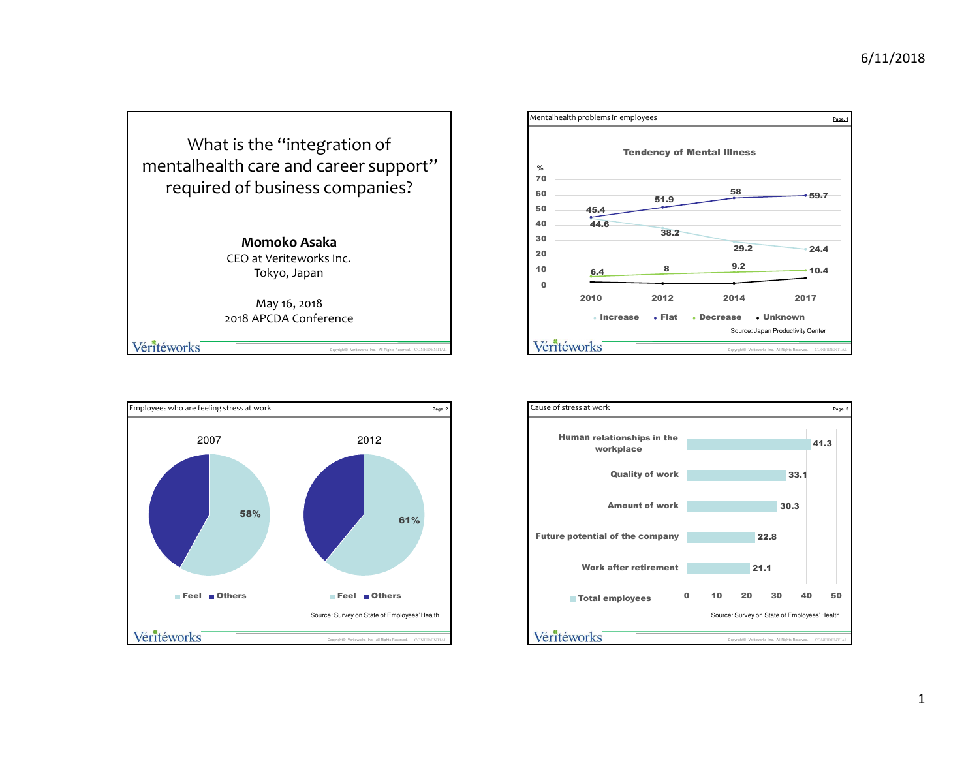





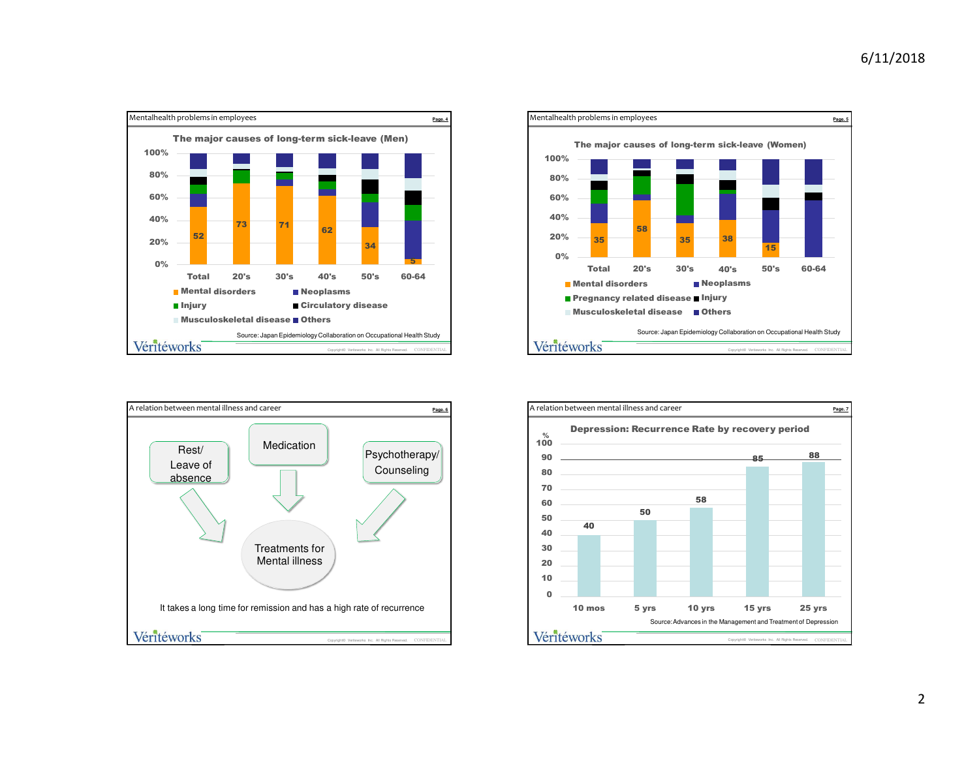





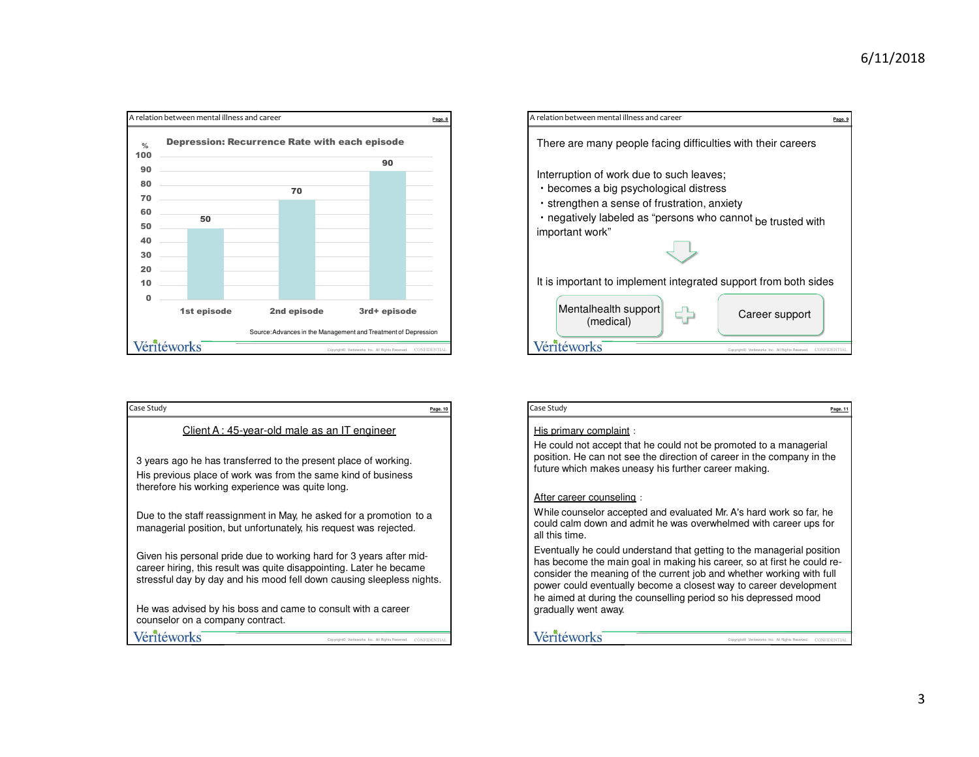

| Case Study<br>Page, 10                                                                                                                                                                                              |
|---------------------------------------------------------------------------------------------------------------------------------------------------------------------------------------------------------------------|
| Client A: 45-year-old male as an IT engineer                                                                                                                                                                        |
| 3 years ago he has transferred to the present place of working.<br>His previous place of work was from the same kind of business<br>therefore his working experience was quite long.                                |
| Due to the staff reassignment in May, he asked for a promotion to a<br>managerial position, but unfortunately, his request was rejected.                                                                            |
| Given his personal pride due to working hard for 3 years after mid-<br>career hiring, this result was quite disappointing. Later he became<br>stressful day by day and his mood fell down causing sleepless nights. |
| He was advised by his boss and came to consult with a career<br>counselor on a company contract.                                                                                                                    |
| Véritéworks<br>Copyright@ Veriteworks Inc. All Rights Reserved                                                                                                                                                      |



| Case Study                                                                                                                                                                                                                                                                                                                                                                                 | Page, 1 |
|--------------------------------------------------------------------------------------------------------------------------------------------------------------------------------------------------------------------------------------------------------------------------------------------------------------------------------------------------------------------------------------------|---------|
| His primary complaint:                                                                                                                                                                                                                                                                                                                                                                     |         |
| He could not accept that he could not be promoted to a managerial<br>position. He can not see the direction of career in the company in the<br>future which makes uneasy his further career making.                                                                                                                                                                                        |         |
| After career counseling:                                                                                                                                                                                                                                                                                                                                                                   |         |
| While counselor accepted and evaluated Mr. A's hard work so far, he<br>could calm down and admit he was overwhelmed with career ups for<br>all this time.                                                                                                                                                                                                                                  |         |
| Eventually he could understand that getting to the managerial position<br>has become the main goal in making his career, so at first he could re-<br>consider the meaning of the current job and whether working with full<br>power could eventually become a closest way to career development<br>he aimed at during the counselling period so his depressed mood<br>gradually went away. |         |
| Véritéworks<br>Copyright@ Veriteworks Inc. All Rights Reserved<br><b>CONFIDENTIA</b>                                                                                                                                                                                                                                                                                                       |         |